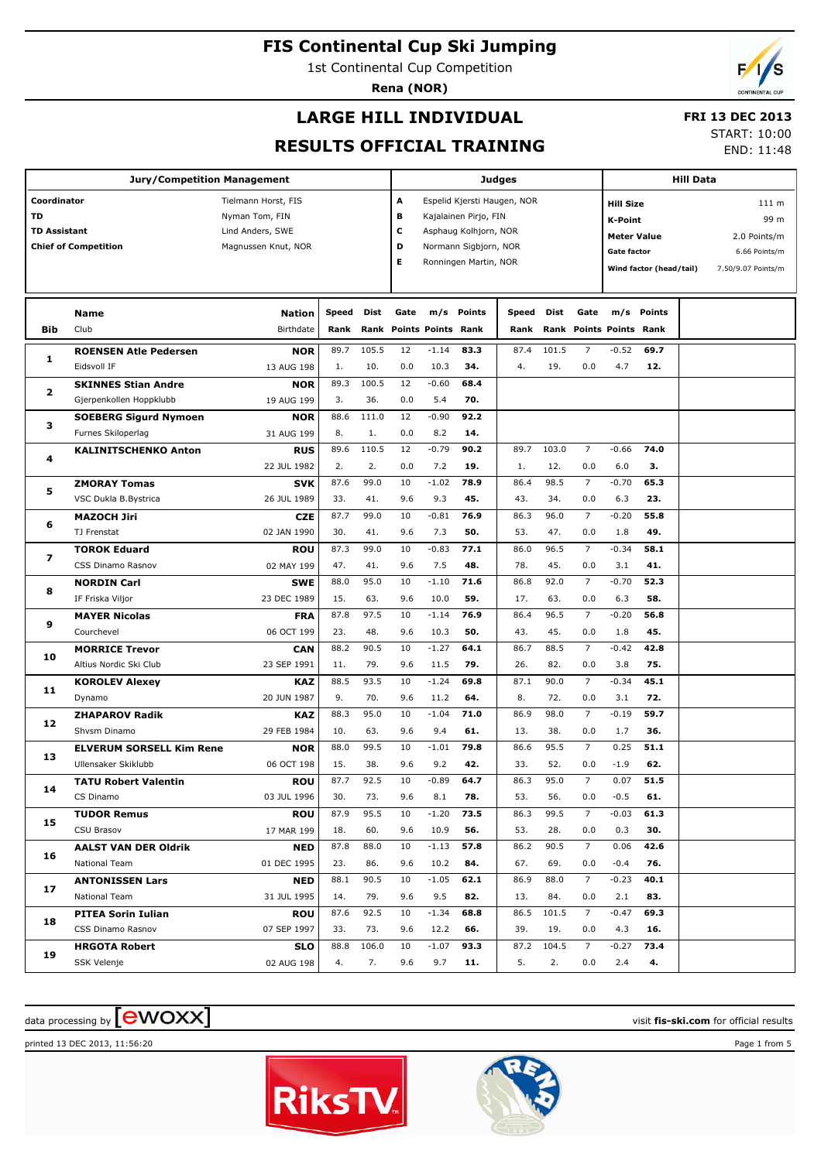1st Continental Cup Competition

**Rena (NOR)**

### **LARGE HILL INDIVIDUAL**

#### **FRI 13 DEC 2013** START: 10:00

#### **RESULTS OFFICIAL TRAINING**

END: 11:48

**Jury/Competition Management Coordinator** Tielmann Horst, FIS **TD** Nyman Tom, FIN **TD Assistant** Lind Anders, SWE **Chief of Competition** Magnussen Knut, NOR **Judges A** Espelid Kjersti Haugen, NOR **B** Kajalainen Pirjo, FIN **C** Asphaug Kolhjorn, NOR **D** Normann Sigbjorn, NOR **E** Ronningen Martin, NOR **Hill Data K-Point** 99 m **Hill Size** 111 m **Meter Value** 2.0 Points/m Gate factor 6.66 Points/m **Wind factor (head/tail)** 7.50/9.07 Points/m **Bib Name** Club Birthdate **Nation Speed Dist Rank Rank Gate Points Points Rank m/s Points Speed Rank Points m/s Points Points Gate Rank Dist Rank ROENSEN Atle Pedersen** Eidsvoll IF **NOR** 13 AUG 198 **1** 89.7 105.5 12 -1.14 **83.3** | 87.4 101.5 7 1. 10. 0.0 10.3 34. | 4. 19. **83.3 34. 69.7** 4.7 **12.**  $-1.14$  83.3 | 87.4 101.5 7  $-0.52$ 0.0 10.3 34.  $\vert$  4. 19. 0.0 **SKINNES Stian Andre** Gjerpenkollen Hoppklubb **NOR** 19 AUG 199 **2** 89.3 100.5 12 3. 36. 5.4 0.0 **68.4 70.**  $-0.60$ **SOEBERG Sigurd Nymoen** Furnes Skiloperlag **NOR** 31 AUG 199 **3** 88.6 111.0 12 8. 1. 8.2 0.0 **92.2 14.** -0.90 **KALINITSCHENKO Anton RUS** 22 111 1982 **4** 89.6 110.5 12 -0.79 **90.2** | 89.7 103.0 7 2. 2. 0.0 7.2 **19.** 1. 12. **90.2 19. 74.0** 6.0 **3.**  $-0.79$  90.2 89.7 103.0 7  $-0.66$ 0.0 7.2 **19.**  $\vert$  1. 12. 0.0 **ZMORAY Tomas** VSC Dukla B.Bystrica **SVK** 26 JUL 1989 **5** 87.6 99.0 10 -1.02 **78.9** | 86.4 98.5 7 33. 41. 9.6 9.3 **45.** 43. 34. **78.9 45. 65.3** 6.3 **23.**  $-1.02$  78.9  $\parallel$  86.4 98.5 7  $-0.70$ 9.6 9.3 45. 43. 34. 0.0 **MAZOCH Jiri** TJ Frenstat **CZE** 02 JAN 1990 **6** 87.7 99.0 10 -0.81 **76.9** | 86.3 96.0 7 30. 41. 9.6 7.3 **50.** 33. 47. **76.9 50. 55.8** 1.8 **49.**  $-0.81$  76.9 | 86.3 96.0 7  $-0.20$ 9.6 7.3 50.  $\vert$  53. 47. 0.0 **TOROK Eduard** CSS Dinamo Rasnov **ROU** 02 MAY 199 **7** 87.3 99.0 10 -0.83 **77.1** | 86.0 96.5 7 47. 41. 9.6 7.5 **48.** 78. 45. **77.1 48. 58.1** 3.1 **41.**  $-0.83$  77.1 86.0 96.5 7  $-0.34$ 9.6 7.5 48. | 78. 45. 0.0 **NORDIN Carl** IF Friska Viljor **SWE** 23 DEC 1989 **8** 88.0 95.0 10 -1.10 **71.6** | 86.8 92.0 7 15. 63. 9.6 10.0 **59.** | 17. 63. **71.6 59. 52.3** 6.3 **58.**  $-1.10$  71.6 | 86.8 92.0 7  $-0.70$ 9.6 10.0 59. | 17. 63. 0.0 **MAYER Nicolas** Courchevel **FRA** 06 OCT 199 **9** 87.8 97.5 10 -1.14 **76.9** | 86.4 96.5 7 23. 48. 9.6 10.3 **50.** | 43. 45. **76.9 50. 56.8** 1.8 **45.**  $-1.14$  76.9 86.4 96.5 7  $-0.20$ 9.6 10.3 **50.** | 43. 45. 0.0 **MORRICE Trevor** Altius Nordic Ski Club **CAN** 23 SEP 1991 **10** 88.2 90.5 10 -1.27 **64.1** | 86.7 88.5 7 11. 79. 9.6 11.5 **79.** | 26. 82. **64.1 79. 42.8** 3.8 **75.**  $-1.27$  64.1 | 86.7 88.5 7  $-0.42$ 9.6 11.5 79. 26. 82. 0.0 **KOROLEV Alexey** Dynamo **KAZ** 20 JUN 1987 **11** 88.5 93.5 10 -1.24 **69.8** | 87.1 90.0 7 9. 70. 9.6 11.2 **64.** | 8. 72. **69.8 64. 45.1** 3.1 **72.**  $-1.24$  69.8 | 87.1 90.0 7  $-0.34$ 9.6 11.2 64. | 8. 72. 0.0 **ZHAPAROV Radik** Shvsm Dinamo **KAZ** 29 FEB 1984 **12** 88.3 95.0 10 -1.04 **71.0** | 86.9 98.0 7 10. 63. 9.6 9.4 **61.** | 13. 38. **71.0 61. 59.7** 1.7 **36.**  $-1.04$  71.0 | 86.9 98.0 7  $-0.19$ 9.6 9.4 61. | 13. 38. 0.0 **ELVERUM SORSELL Kim Rene** Ullensaker Skiklubb **NOR** 06 OCT 198 **13** 88.0 99.5 10 -1.01 **79.8** | 86.6 95.5 7 15. 38. 9.6 9.2 **42.** | 33. 52. **79.8 42. 51.1** -1.9 **62.**  $-1.01$  79.8 86.6 95.5 7 0.25 9.6 9.2 **42.** 33. 52. 0.0 **TATU Robert Valentin** CS Dinamo **ROU** 03 JUL 1996 **14** 87.7 92.5 10 -0.89 **64.7** | 86.3 95.0 7 30. 73. 9.6 8.1 **78.** | 53. 56. **64.7 78. 51.5** -0.5 **61.**  $-0.89$  64.7 | 86.3 95.0 7 0.07 9.6 8.1 78. | 53. 56. 0.0 **TUDOR Remus** CSU Brasov **ROU** 17 MAR 199 **15** 87.9 95.5 10 -1.20 **73.5** | 86.3 99.5 7 18. 60. 9.6 10.9 **56.** | 53. 28. **73.5 56. 61.3** 0.3 **30.**  $-1.20$  73.5 | 86.3 99.5 7  $-0.03$ 9.6 10.9 56. | 53. 28. 0.0 **AALST VAN DER Oldrik** National Team **NED** 01 DEC 1995 **16** 87.8 88.0 10 -1.13 **57.8** | 86.2 90.5 7 23. 86. 9.6 10.2 **84.** | 67. 69. **57.8 84. 42.6** -0.4 **76.**  $-1.13$  57.8 86.2 90.5 7 0.06 9.6 10.2 84. | 67. 69. 0.0 **ANTONISSEN Lars** National Team **NED** 31 JUL 1995 **17** 88.1 90.5 10 -1.05 **62.1** | 86.9 88.0 7 14. 79. 9.6 9.5 **82.** | 13. 84. **62.1 82. 40.1** 2.1 **83.**  $-1.05$  62.1 | 86.9 88.0 7  $-0.23$ 9.6 9.5 82. | 13. 84. 0.0 **PITEA Sorin Iulian** CSS Dinamo Rasnov **ROU** 07 SEP 1997 **18** 87.6 92.5 10 -1.34 **68.8** | 86.5 101.5 7 33. 73. 9.6 12.2 **66.** | 39. 19. **68.8 66. 69.3** 4.3 **16.**  $-1.34$  68.8 86.5 101.5 7  $-0.47$ 9.6 12.2 66. | 39. 19. 0.0 **HRGOTA Robert** SSK Velenje **SLO** 02 AUG 198 **19** 88.8 106.0 10 -1.07 **93.3** | 87.2 104.5 7 4. 7. 9.6 9.7 **11.** | 5. 2. **93.3 11. 73.4** 2.4 **4.**  $-1.07$  93.3 | 87.2 104.5 7  $-0.27$ 9.6 9.7 **11.** | 5. 2. 0.0

# $\alpha$  data processing by  $\boxed{\text{ewOX}}$

printed 13 DEC 2013, 11:56:20 Page 1 from 5



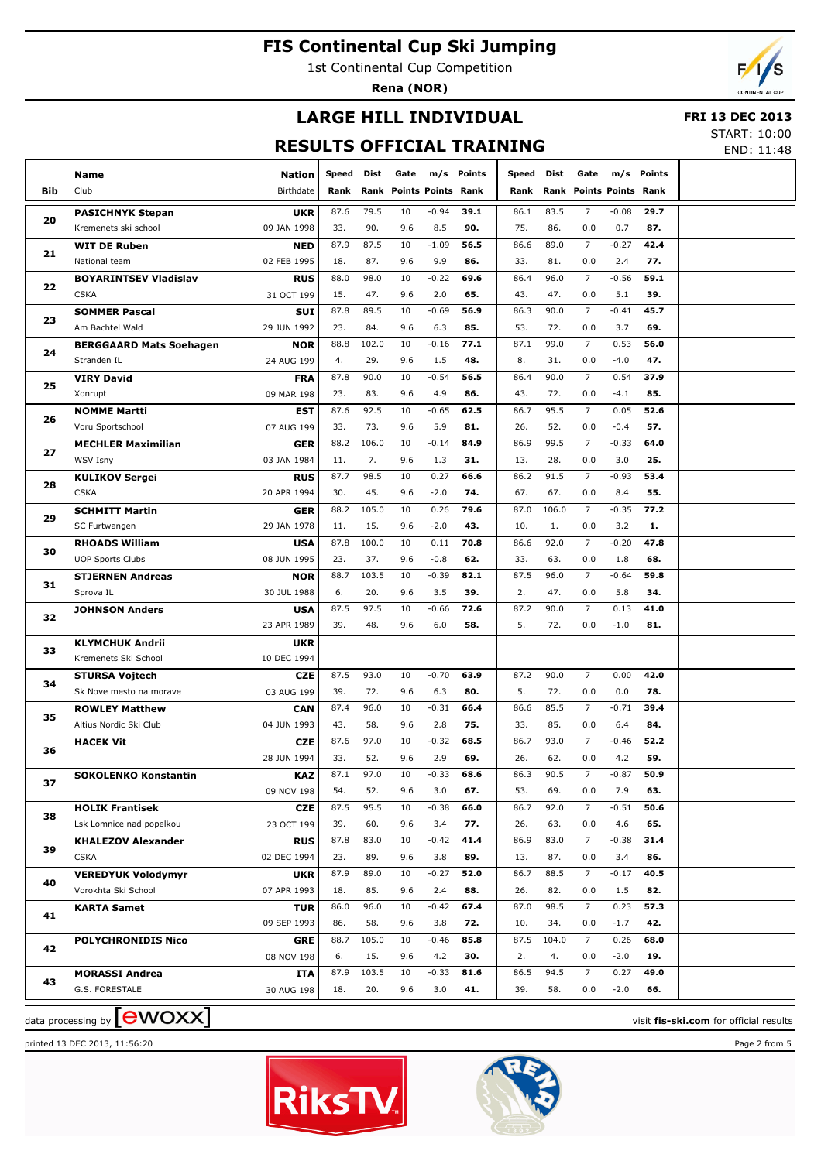1st Continental Cup Competition

**Rena (NOR)**



# **LARGE HILL INDIVIDUAL**

#### **FRI 13 DEC 2013**

**RESULTS OFFICIAL TRAINING**

START: 10:00 END: 11:48

| <b>Bib</b>                                                                         | Name<br>Club                   | Nation<br>Birthdate | Speed<br>Rank | Dist  | Gate<br>Rank Points Points Rank |         | m/s Points | Speed<br>Rank | Dist  | Gate<br>Rank Points Points Rank |         | m/s Points |  |
|------------------------------------------------------------------------------------|--------------------------------|---------------------|---------------|-------|---------------------------------|---------|------------|---------------|-------|---------------------------------|---------|------------|--|
|                                                                                    | <b>PASICHNYK Stepan</b>        | <b>UKR</b>          | 87.6          | 79.5  | 10                              | $-0.94$ | 39.1       | 86.1          | 83.5  | $\overline{7}$                  | $-0.08$ | 29.7       |  |
| 20                                                                                 | Kremenets ski school           | 09 JAN 1998         | 33.           | 90.   | 9.6                             | 8.5     | 90.        | 75.           | 86.   | 0.0                             | 0.7     | 87.        |  |
|                                                                                    | <b>WIT DE Ruben</b>            | NED                 | 87.9          | 87.5  | 10                              | $-1.09$ | 56.5       | 86.6          | 89.0  | $\overline{7}$                  | $-0.27$ | 42.4       |  |
| 21                                                                                 | National team                  | 02 FEB 1995         | 18.           | 87.   | 9.6                             | 9.9     | 86.        | 33.           | 81.   | 0.0                             | 2.4     | 77.        |  |
|                                                                                    | <b>BOYARINTSEV Vladislav</b>   | <b>RUS</b>          | 88.0          | 98.0  | 10                              | $-0.22$ | 69.6       | 86.4          | 96.0  | $\overline{7}$                  | $-0.56$ | 59.1       |  |
| 22                                                                                 | <b>CSKA</b>                    | 31 OCT 199          | 15.           | 47.   | 9.6                             | 2.0     | 65.        | 43.           | 47.   | 0.0                             | 5.1     | 39.        |  |
|                                                                                    | <b>SOMMER Pascal</b>           | SUI                 | 87.8          | 89.5  | 10                              | $-0.69$ | 56.9       | 86.3          | 90.0  | $\overline{7}$                  | $-0.41$ | 45.7       |  |
| 23                                                                                 | Am Bachtel Wald                | 29 JUN 1992         | 23.           | 84.   | 9.6                             | 6.3     | 85.        | 53.           | 72.   | 0.0                             | 3.7     | 69.        |  |
|                                                                                    | <b>BERGGAARD Mats Soehagen</b> | <b>NOR</b>          | 88.8          | 102.0 | 10                              | $-0.16$ | 77.1       | 87.1          | 99.0  | $\overline{7}$                  | 0.53    | 56.0       |  |
| 24                                                                                 | Stranden IL                    | 24 AUG 199          | 4.            | 29.   | 9.6                             | 1.5     | 48.        | 8.            | 31.   | 0.0                             | $-4.0$  | 47.        |  |
|                                                                                    | <b>VIRY David</b>              | <b>FRA</b>          | 87.8          | 90.0  | 10                              | $-0.54$ | 56.5       | 86.4          | 90.0  | $\overline{7}$                  | 0.54    | 37.9       |  |
| 25                                                                                 | Xonrupt                        | 09 MAR 198          | 23.           | 83.   | 9.6                             | 4.9     | 86.        | 43.           | 72.   | 0.0                             | $-4.1$  | 85.        |  |
|                                                                                    | <b>NOMME Martti</b>            | <b>EST</b>          | 87.6          | 92.5  | 10                              | $-0.65$ | 62.5       | 86.7          | 95.5  | $\overline{7}$                  | 0.05    | 52.6       |  |
| 26                                                                                 | Voru Sportschool               | 07 AUG 199          | 33.           | 73.   | 9.6                             | 5.9     | 81.        | 26.           | 52.   | 0.0                             | $-0.4$  | 57.        |  |
|                                                                                    | <b>MECHLER Maximilian</b>      | <b>GER</b>          | 88.2          | 106.0 | 10                              | $-0.14$ | 84.9       | 86.9          | 99.5  | $\overline{7}$                  | $-0.33$ | 64.0       |  |
| 27                                                                                 | <b>WSV Isny</b>                | 03 JAN 1984         | 11.           | 7.    | 9.6                             | 1.3     | 31.        | 13.           | 28.   | 0.0                             | 3.0     | 25.        |  |
|                                                                                    | <b>KULIKOV Sergei</b>          | <b>RUS</b>          | 87.7          | 98.5  | 10                              | 0.27    | 66.6       | 86.2          | 91.5  | $\overline{7}$                  | $-0.93$ | 53.4       |  |
| 28                                                                                 | <b>CSKA</b>                    | 20 APR 1994         | 30.           | 45.   | 9.6                             | $-2.0$  | 74.        | 67.           | 67.   | 0.0                             | 8.4     | 55.        |  |
|                                                                                    | <b>SCHMITT Martin</b>          | <b>GER</b>          | 88.2          | 105.0 | 10                              | 0.26    | 79.6       | 87.0          | 106.0 | $\overline{7}$                  | $-0.35$ | 77.2       |  |
| 29                                                                                 | SC Furtwangen                  | 29 JAN 1978         | 11.           | 15.   | 9.6                             | $-2.0$  | 43.        | 10.           | 1.    | 0.0                             | 3.2     | 1.         |  |
|                                                                                    | <b>RHOADS William</b>          | <b>USA</b>          | 87.8          | 100.0 | 10                              | 0.11    | 70.8       | 86.6          | 92.0  | $\overline{7}$                  | $-0.20$ | 47.8       |  |
| 30                                                                                 | <b>UOP Sports Clubs</b>        | 08 JUN 1995         | 23.           | 37.   | 9.6                             | $-0.8$  | 62.        | 33.           | 63.   | 0.0                             | 1.8     | 68.        |  |
|                                                                                    | <b>STJERNEN Andreas</b>        | <b>NOR</b>          | 88.7          | 103.5 | 10                              | $-0.39$ | 82.1       | 87.5          | 96.0  | $\overline{7}$                  | $-0.64$ | 59.8       |  |
| 31                                                                                 | Sprova IL                      | 30 JUL 1988         | 6.            | 20.   | 9.6                             | 3.5     | 39.        | 2.            | 47.   | 0.0                             | 5.8     | 34.        |  |
|                                                                                    | <b>JOHNSON Anders</b>          | <b>USA</b>          | 87.5          | 97.5  | 10                              | $-0.66$ | 72.6       | 87.2          | 90.0  | $\overline{7}$                  | 0.13    | 41.0       |  |
| 32                                                                                 |                                | 23 APR 1989         | 39.           | 48.   | 9.6                             | 6.0     | 58.        | 5.            | 72.   | 0.0                             | $-1.0$  | 81.        |  |
|                                                                                    | <b>KLYMCHUK Andrii</b>         | UKR                 |               |       |                                 |         |            |               |       |                                 |         |            |  |
| 33                                                                                 | Kremenets Ski School           | 10 DEC 1994         |               |       |                                 |         |            |               |       |                                 |         |            |  |
|                                                                                    | <b>STURSA Vojtech</b>          | <b>CZE</b>          | 87.5          | 93.0  | 10                              | $-0.70$ | 63.9       | 87.2          | 90.0  | $\overline{7}$                  | 0.00    | 42.0       |  |
| 34                                                                                 | Sk Nove mesto na morave        | 03 AUG 199          | 39.           | 72.   | 9.6                             | 6.3     | 80.        | 5.            | 72.   | 0.0                             | 0.0     | 78.        |  |
|                                                                                    | <b>ROWLEY Matthew</b>          | <b>CAN</b>          | 87.4          | 96.0  | 10                              | $-0.31$ | 66.4       | 86.6          | 85.5  | $\overline{7}$                  | $-0.71$ | 39.4       |  |
| 35                                                                                 | Altius Nordic Ski Club         | 04 JUN 1993         | 43.           | 58.   | 9.6                             | 2.8     | 75.        | 33.           | 85.   | 0.0                             | 6.4     | 84.        |  |
|                                                                                    | <b>HACEK Vit</b>               | CZE                 | 87.6          | 97.0  | 10                              | $-0.32$ | 68.5       | 86.7          | 93.0  | $\overline{7}$                  | $-0.46$ | 52.2       |  |
| 36                                                                                 |                                | 28 JUN 1994         | 33.           | 52.   | 9.6                             | 2.9     | 69.        | 26.           | 62.   | 0.0                             | 4.2     | 59.        |  |
|                                                                                    | <b>SOKOLENKO Konstantin</b>    | <b>KAZ</b>          | 87.1          | 97.0  | 10                              | $-0.33$ | 68.6       | 86.3          | 90.5  | $\overline{7}$                  | $-0.87$ | 50.9       |  |
| 37                                                                                 |                                | 09 NOV 198          | 54.           | 52.   | 9.6                             | 3.0     | 67.        | 53.           | 69.   | 0.0                             | 7.9     | 63.        |  |
|                                                                                    | <b>HOLIK Frantisek</b>         | CZE                 | 87.5          | 95.5  | 10                              | $-0.38$ | 66.0       | 86.7          | 92.0  | $\overline{7}$                  | $-0.51$ | 50.6       |  |
| 38                                                                                 | Lsk Lomnice nad popelkou       | 23 OCT 199          | 39.           | 60.   | 9.6                             | 3.4     | 77.        | 26.           | 63.   | 0.0                             | 4.6     | 65.        |  |
|                                                                                    | <b>KHALEZOV Alexander</b>      | <b>RUS</b>          | 87.8          | 83.0  | 10                              | $-0.42$ | 41.4       | 86.9          | 83.0  | 7                               | $-0.38$ | 31.4       |  |
| 39                                                                                 | <b>CSKA</b>                    | 02 DEC 1994         | 23.           | 89.   | 9.6                             | 3.8     | 89.        | 13.           | 87.   | 0.0                             | 3.4     | 86.        |  |
|                                                                                    | <b>VEREDYUK Volodymyr</b>      | UKR                 | 87.9          | 89.0  | 10                              | $-0.27$ | 52.0       | 86.7          | 88.5  | $\overline{7}$                  | $-0.17$ | 40.5       |  |
| 40                                                                                 | Vorokhta Ski School            | 07 APR 1993         | 18.           | 85.   | 9.6                             | 2.4     | 88.        | 26.           | 82.   | 0.0                             | 1.5     | 82.        |  |
|                                                                                    | <b>KARTA Samet</b>             | TUR                 | 86.0          | 96.0  | 10                              | $-0.42$ | 67.4       | 87.0          | 98.5  | $\overline{7}$                  | 0.23    | 57.3       |  |
| 41                                                                                 |                                | 09 SEP 1993         | 86.           | 58.   | 9.6                             | 3.8     | 72.        | 10.           | 34.   | 0.0                             | $-1.7$  | 42.        |  |
|                                                                                    | <b>POLYCHRONIDIS Nico</b>      | GRE                 | 88.7          | 105.0 | 10                              | $-0.46$ | 85.8       | 87.5          | 104.0 | $\overline{7}$                  | 0.26    | 68.0       |  |
| 42                                                                                 |                                | 08 NOV 198          | 6.            | 15.   | 9.6                             | 4.2     | 30.        | 2.            | 4.    | 0.0                             | $-2.0$  | 19.        |  |
| 43                                                                                 | <b>MORASSI Andrea</b>          | ITA                 | 87.9          | 103.5 | 10                              | $-0.33$ | 81.6       | 86.5          | 94.5  | $\overline{7}$                  | 0.27    | 49.0       |  |
|                                                                                    | G.S. FORESTALE                 | 30 AUG 198          | 18.           | 20.   | 9.6                             | 3.0     | 41.        | 39.           | 58.   | 0.0                             | $-2.0$  | 66.        |  |
| data processing by $\left[$ <b>CWOXX</b><br>visit fis-ski.com for official results |                                |                     |               |       |                                 |         |            |               |       |                                 |         |            |  |

printed 13 DEC 2013, 11:56:20 Page 2 from 5



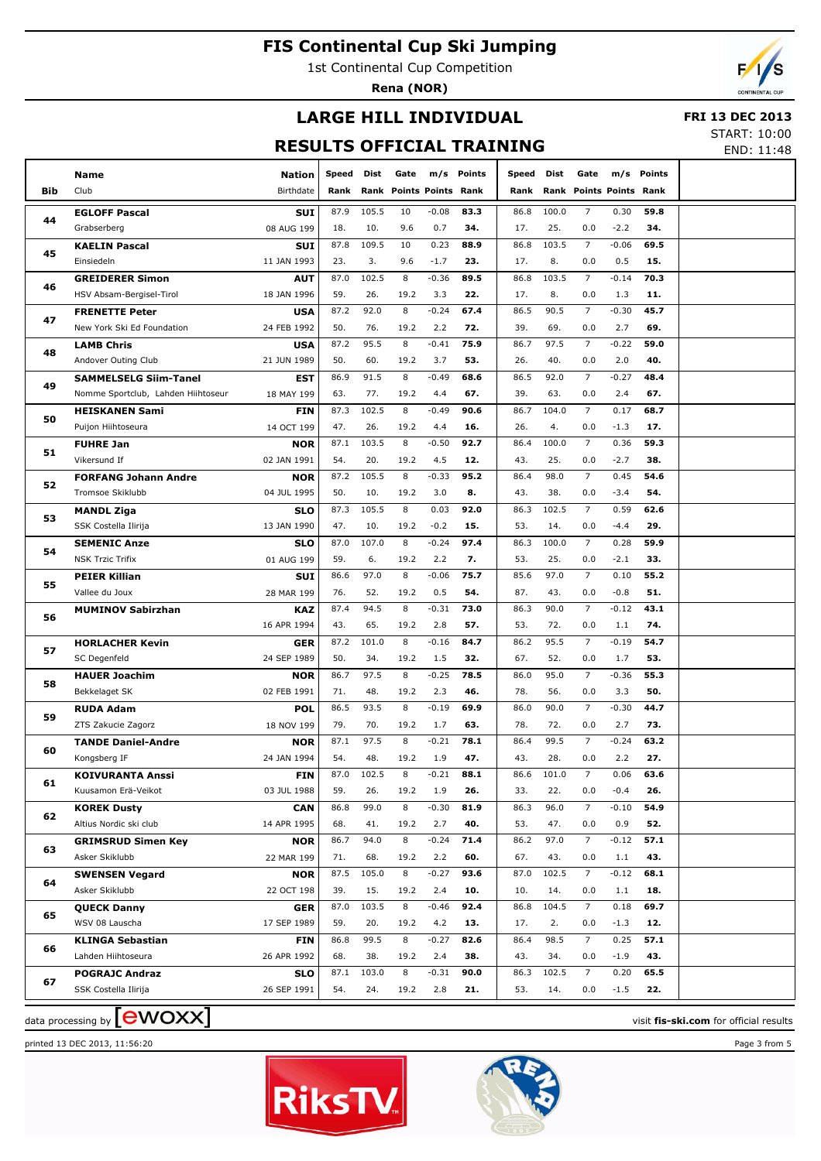1st Continental Cup Competition

**Rena (NOR)**



# **LARGE HILL INDIVIDUAL**

 **FRI 13 DEC 2013**

### **RESULTS OFFICIAL TRAINING**

START: 10:00 END: 11:48

| Bib | <b>Name</b><br>Club                | <b>Nation</b><br>Birthdate | Speed<br>Rank | Dist  | Gate<br>Rank Points Points Rank |         | m/s Points | Speed<br>Rank | Dist  | Gate           | Rank Points Points Rank | m/s Points |                                        |
|-----|------------------------------------|----------------------------|---------------|-------|---------------------------------|---------|------------|---------------|-------|----------------|-------------------------|------------|----------------------------------------|
|     | <b>EGLOFF Pascal</b>               | <b>SUI</b>                 | 87.9          | 105.5 | 10                              | $-0.08$ | 83.3       | 86.8          | 100.0 | $\overline{7}$ | 0.30                    | 59.8       |                                        |
| 44  | Grabserberg                        | 08 AUG 199                 | 18.           | 10.   | 9.6                             | 0.7     | 34.        | 17.           | 25.   | 0.0            | $-2.2$                  | 34.        |                                        |
|     | <b>KAELIN Pascal</b>               | <b>SUI</b>                 | 87.8          | 109.5 | 10                              | 0.23    | 88.9       | 86.8          | 103.5 | $\overline{7}$ | $-0.06$                 | 69.5       |                                        |
| 45  | Einsiedeln                         | 11 JAN 1993                | 23.           | 3.    | 9.6                             | $-1.7$  | 23.        | 17.           | 8.    | 0.0            | 0.5                     | 15.        |                                        |
|     | <b>GREIDERER Simon</b>             | <b>AUT</b>                 | 87.0          | 102.5 | 8                               | $-0.36$ | 89.5       | 86.8          | 103.5 | $\overline{7}$ | $-0.14$                 | 70.3       |                                        |
| 46  | HSV Absam-Bergisel-Tirol           | 18 JAN 1996                | 59.           | 26.   | 19.2                            | 3.3     | 22.        | 17.           | 8.    | 0.0            | 1.3                     | 11.        |                                        |
|     | <b>FRENETTE Peter</b>              | <b>USA</b>                 | 87.2          | 92.0  | 8                               | $-0.24$ | 67.4       | 86.5          | 90.5  | $\overline{7}$ | $-0.30$                 | 45.7       |                                        |
| 47  | New York Ski Ed Foundation         | 24 FEB 1992                | 50.           | 76.   | 19.2                            | 2.2     | 72.        | 39.           | 69.   | 0.0            | 2.7                     | 69.        |                                        |
|     | <b>LAMB Chris</b>                  | <b>USA</b>                 | 87.2          | 95.5  | 8                               | $-0.41$ | 75.9       | 86.7          | 97.5  | $\overline{7}$ | $-0.22$                 | 59.0       |                                        |
| 48  | Andover Outing Club                | 21 JUN 1989                | 50.           | 60.   | 19.2                            | 3.7     | 53.        | 26.           | 40.   | 0.0            | 2.0                     | 40.        |                                        |
|     | <b>SAMMELSELG Siim-Tanel</b>       | EST                        | 86.9          | 91.5  | 8                               | $-0.49$ | 68.6       | 86.5          | 92.0  | $\overline{7}$ | $-0.27$                 | 48.4       |                                        |
| 49  | Nomme Sportclub, Lahden Hiihtoseur | 18 MAY 199                 | 63.           | 77.   | 19.2                            | 4.4     | 67.        | 39.           | 63.   | 0.0            | 2.4                     | 67.        |                                        |
|     | <b>HEISKANEN Sami</b>              | <b>FIN</b>                 | 87.3          | 102.5 | 8                               | $-0.49$ | 90.6       | 86.7          | 104.0 | $\overline{7}$ | 0.17                    | 68.7       |                                        |
| 50  | Puijon Hiihtoseura                 | 14 OCT 199                 | 47.           | 26.   | 19.2                            | 4.4     | 16.        | 26.           | 4.    | 0.0            | $-1.3$                  | 17.        |                                        |
|     | <b>FUHRE Jan</b>                   | NOR                        | 87.1          | 103.5 | 8                               | $-0.50$ | 92.7       | 86.4          | 100.0 | $\overline{7}$ | 0.36                    | 59.3       |                                        |
| 51  | Vikersund If                       | 02 JAN 1991                | 54.           | 20.   | 19.2                            | 4.5     | 12.        | 43.           | 25.   | 0.0            | $-2.7$                  | 38.        |                                        |
|     | <b>FORFANG Johann Andre</b>        | <b>NOR</b>                 | 87.2          | 105.5 | 8                               | $-0.33$ | 95.2       | 86.4          | 98.0  | $\overline{7}$ | 0.45                    | 54.6       |                                        |
| 52  | Tromsoe Skiklubb                   | 04 JUL 1995                | 50.           | 10.   | 19.2                            | 3.0     | 8.         | 43.           | 38.   | 0.0            | $-3.4$                  | 54.        |                                        |
|     | <b>MANDL Ziga</b>                  | <b>SLO</b>                 | 87.3          | 105.5 | 8                               | 0.03    | 92.0       | 86.3          | 102.5 | $\overline{7}$ | 0.59                    | 62.6       |                                        |
| 53  | SSK Costella Ilirija               | 13 JAN 1990                | 47.           | 10.   | 19.2                            | $-0.2$  | 15.        | 53.           | 14.   | 0.0            | $-4.4$                  | 29.        |                                        |
|     | <b>SEMENIC Anze</b>                | <b>SLO</b>                 | 87.0          | 107.0 | 8                               | $-0.24$ | 97.4       | 86.3          | 100.0 | $\overline{7}$ | 0.28                    | 59.9       |                                        |
| 54  | <b>NSK Trzic Trifix</b>            | 01 AUG 199                 | 59.           | 6.    | 19.2                            | 2.2     | 7.         | 53.           | 25.   | 0.0            | $-2.1$                  | 33.        |                                        |
|     | <b>PEIER Killian</b>               | <b>SUI</b>                 | 86.6          | 97.0  | 8                               | $-0.06$ | 75.7       | 85.6          | 97.0  | $\overline{7}$ | 0.10                    | 55.2       |                                        |
| 55  | Vallee du Joux                     | 28 MAR 199                 | 76.           | 52.   | 19.2                            | 0.5     | 54.        | 87.           | 43.   | 0.0            | $-0.8$                  | 51.        |                                        |
|     | <b>MUMINOV Sabirzhan</b>           | KAZ                        | 87.4          | 94.5  | 8                               | $-0.31$ | 73.0       | 86.3          | 90.0  | $\overline{7}$ | $-0.12$                 | 43.1       |                                        |
| 56  |                                    | 16 APR 1994                | 43.           | 65.   | 19.2                            | 2.8     | 57.        | 53.           | 72.   | 0.0            | 1.1                     | 74.        |                                        |
| 57  | <b>HORLACHER Kevin</b>             | <b>GER</b>                 | 87.2          | 101.0 | 8                               | $-0.16$ | 84.7       | 86.2          | 95.5  | $\overline{7}$ | $-0.19$                 | 54.7       |                                        |
|     | SC Degenfeld                       | 24 SEP 1989                | 50.           | 34.   | 19.2                            | 1.5     | 32.        | 67.           | 52.   | 0.0            | 1.7                     | 53.        |                                        |
| 58  | <b>HAUER Joachim</b>               | <b>NOR</b>                 | 86.7          | 97.5  | 8                               | $-0.25$ | 78.5       | 86.0          | 95.0  | $\overline{7}$ | $-0.36$                 | 55.3       |                                        |
|     | Bekkelaget SK                      | 02 FEB 1991                | 71.           | 48.   | 19.2                            | 2.3     | 46.        | 78.           | 56.   | 0.0            | 3.3                     | 50.        |                                        |
| 59  | <b>RUDA Adam</b>                   | <b>POL</b>                 | 86.5          | 93.5  | 8                               | $-0.19$ | 69.9       | 86.0          | 90.0  | $\overline{7}$ | $-0.30$                 | 44.7       |                                        |
|     | ZTS Zakucie Zagorz                 | 18 NOV 199                 | 79.           | 70.   | 19.2                            | 1.7     | 63.        | 78.           | 72.   | 0.0            | 2.7                     | 73.        |                                        |
| 60  | <b>TANDE Daniel-Andre</b>          | <b>NOR</b>                 | 87.1          | 97.5  | 8                               | $-0.21$ | 78.1       | 86.4          | 99.5  | $\overline{7}$ | $-0.24$                 | 63.2       |                                        |
|     | Kongsberg IF                       | 24 JAN 1994                | 54.           | 48.   | 19.2                            | 1.9     | 47.        | 43.           | 28.   | 0.0            | 2.2                     | 27.        |                                        |
| 61  | <b>KOIVURANTA Anssi</b>            | <b>FIN</b>                 | 87.0          | 102.5 | 8                               | $-0.21$ | 88.1       | 86.6          | 101.0 | $\overline{7}$ | 0.06                    | 63.6       |                                        |
|     | Kuusamon Erä-Veikot                | 03 JUL 1988                | 59.           | 26.   | 19.2                            | 1.9     | 26.        | 33.           | 22.   | 0.0            | $-0.4$                  | 26.        |                                        |
| 62  | <b>KOREK Dusty</b>                 | <b>CAN</b>                 | 86.8          | 99.0  | 8                               | $-0.30$ | 81.9       | 86.3          | 96.0  | $\overline{7}$ | $-0.10$                 | 54.9       |                                        |
|     | Altius Nordic ski club             | 14 APR 1995                | 68.           | 41.   | 19.2                            | 2.7     | 40.        | 53.           | 47.   | 0.0            | 0.9                     | 52.        |                                        |
| 63  | <b>GRIMSRUD Simen Key</b>          | <b>NOR</b>                 | 86.7          | 94.0  | 8                               | $-0.24$ | 71.4       | 86.2          | 97.0  | $\overline{7}$ | $-0.12$                 | 57.1       |                                        |
|     | Asker Skiklubb                     | 22 MAR 199                 | 71.           | 68.   | 19.2                            | 2.2     | 60.        | 67.           | 43.   | 0.0            | 1.1                     | 43.        |                                        |
| 64  | <b>SWENSEN Vegard</b>              | <b>NOR</b>                 | 87.5          | 105.0 | 8                               | $-0.27$ | 93.6       | 87.0          | 102.5 | $\overline{7}$ | $-0.12$                 | 68.1       |                                        |
|     | Asker Skiklubb                     | 22 OCT 198                 | 39.           | 15.   | 19.2                            | 2.4     | 10.        | 10.           | 14.   | 0.0            | 1.1                     | 18.        |                                        |
| 65  | <b>QUECK Danny</b>                 | GER                        | 87.0          | 103.5 | 8                               | $-0.46$ | 92.4       | 86.8          | 104.5 | $\overline{7}$ | 0.18                    | 69.7       |                                        |
|     | WSV 08 Lauscha                     | 17 SEP 1989                | 59.           | 20.   | 19.2                            | 4.2     | 13.        | 17.           | 2.    | 0.0            | $-1.3$                  | 12.        |                                        |
| 66  | <b>KLINGA Sebastian</b>            | FIN                        | 86.8          | 99.5  | 8                               | $-0.27$ | 82.6       | 86.4          | 98.5  | $\overline{7}$ | 0.25                    | 57.1       |                                        |
|     | Lahden Hiihtoseura                 | 26 APR 1992                | 68.           | 38.   | 19.2                            | 2.4     | 38.        | 43.           | 34.   | 0.0            | $-1.9$                  | 43.        |                                        |
| 67  | <b>POGRAJC Andraz</b>              | <b>SLO</b>                 | 87.1          | 103.0 | 8                               | $-0.31$ | 90.0       | 86.3          | 102.5 | $\overline{7}$ | 0.20                    | 65.5       |                                        |
|     | SSK Costella Ilirija               | 26 SEP 1991                | 54.           | 24.   | 19.2                            | 2.8     | 21.        | 53.           | 14.   | 0.0            | $-1.5$                  | 22.        |                                        |
|     | data processing by <b>[CWOXX]</b>  |                            |               |       |                                 |         |            |               |       |                |                         |            | visit fis-ski.com for official results |

printed 13 DEC 2013, 11:56:20 Page 3 from 5



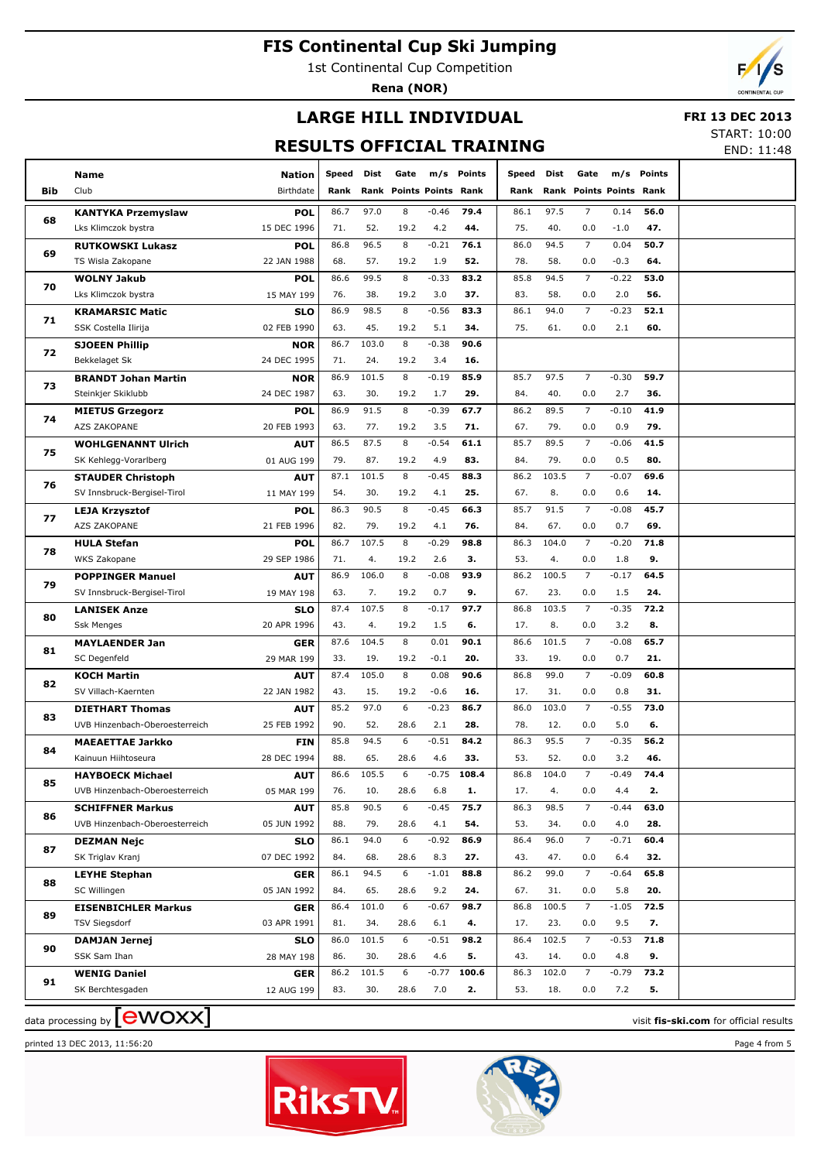1st Continental Cup Competition

**Rena (NOR)**



END: 11:48

# **LARGE HILL INDIVIDUAL**

#### **FRI 13 DEC 2013** START: 10:00

**RESULTS OFFICIAL TRAINING**

|     | Name                                  | <b>Nation</b>            | Speed       | Dist        | Gate                      | m/s         | Points     | Speed       | Dist        | Gate                           | m/s            | Points      |  |
|-----|---------------------------------------|--------------------------|-------------|-------------|---------------------------|-------------|------------|-------------|-------------|--------------------------------|----------------|-------------|--|
| Bib | Club                                  | Birthdate                | Rank        |             | <b>Rank Points Points</b> |             | Rank       | Rank        |             | <b>Rank Points Points Rank</b> |                |             |  |
|     | <b>KANTYKA Przemyslaw</b>             | <b>POL</b>               | 86.7        | 97.0        | 8                         | $-0.46$     | 79.4       | 86.1        | 97.5        | $\overline{7}$                 | 0.14           | 56.0        |  |
| 68  | Lks Klimczok bystra                   | 15 DEC 1996              | 71.         | 52.         | 19.2                      | 4.2         | 44.        | 75.         | 40.         | 0.0                            | $-1.0$         | 47.         |  |
|     | <b>RUTKOWSKI Lukasz</b>               | <b>POL</b>               | 86.8        | 96.5        | 8                         | $-0.21$     | 76.1       | 86.0        | 94.5        | $\overline{7}$                 | 0.04           | 50.7        |  |
| 69  | TS Wisla Zakopane                     | 22 JAN 1988              | 68.         | 57.         | 19.2                      | 1.9         | 52.        | 78.         | 58.         | 0.0                            | $-0.3$         | 64.         |  |
|     | <b>WOLNY Jakub</b>                    | <b>POL</b>               | 86.6        | 99.5        | 8                         | $-0.33$     | 83.2       | 85.8        | 94.5        | $\overline{7}$                 | $-0.22$        | 53.0        |  |
| 70  | Lks Klimczok bystra                   | 15 MAY 199               | 76.         | 38.         | 19.2                      | 3.0         | 37.        | 83.         | 58.         | 0.0                            | 2.0            | 56.         |  |
| 71  | <b>KRAMARSIC Matic</b>                | <b>SLO</b>               | 86.9        | 98.5        | 8                         | $-0.56$     | 83.3       | 86.1        | 94.0        | $\overline{7}$                 | $-0.23$        | 52.1        |  |
|     | SSK Costella Ilirija                  | 02 FEB 1990              | 63.         | 45.         | 19.2                      | 5.1         | 34.        | 75.         | 61.         | 0.0                            | 2.1            | 60.         |  |
| 72  | <b>SJOEEN Phillip</b>                 | <b>NOR</b>               | 86.7        | 103.0       | 8                         | $-0.38$     | 90.6       |             |             |                                |                |             |  |
|     | Bekkelaget Sk                         | 24 DEC 1995              | 71.         | 24.         | 19.2                      | 3.4         | 16.        |             |             |                                |                |             |  |
| 73  | <b>BRANDT Johan Martin</b>            | <b>NOR</b>               | 86.9        | 101.5       | 8                         | $-0.19$     | 85.9       | 85.7        | 97.5        | $\overline{7}$                 | $-0.30$        | 59.7        |  |
|     | Steinkjer Skiklubb                    | 24 DEC 1987              | 63.         | 30.         | 19.2                      | 1.7         | 29.        | 84.         | 40.         | 0.0                            | 2.7            | 36.         |  |
| 74  | <b>MIETUS Grzegorz</b>                | <b>POL</b>               | 86.9        | 91.5        | 8                         | $-0.39$     | 67.7       | 86.2        | 89.5        | $\overline{7}$                 | $-0.10$        | 41.9        |  |
|     | AZS ZAKOPANE                          | 20 FEB 1993              | 63.         | 77.         | 19.2                      | 3.5         | 71.        | 67.         | 79.         | 0.0                            | 0.9            | 79.         |  |
| 75  | <b>WOHLGENANNT Ulrich</b>             | <b>AUT</b>               | 86.5        | 87.5        | 8                         | $-0.54$     | 61.1       | 85.7        | 89.5        | $\overline{7}$                 | $-0.06$        | 41.5        |  |
|     | SK Kehlegg-Vorarlberg                 | 01 AUG 199               | 79.         | 87.         | 19.2                      | 4.9         | 83.        | 84.         | 79.         | 0.0                            | 0.5            | 80.         |  |
| 76  | <b>STAUDER Christoph</b>              | <b>AUT</b>               | 87.1        | 101.5       | 8                         | $-0.45$     | 88.3       | 86.2        | 103.5       | $\overline{7}$                 | $-0.07$        | 69.6        |  |
|     | SV Innsbruck-Bergisel-Tirol           | 11 MAY 199               | 54.         | 30.         | 19.2                      | 4.1         | 25.        | 67.         | 8.          | 0.0                            | 0.6            | 14.         |  |
| 77  | <b>LEJA Krzysztof</b>                 | <b>POL</b>               | 86.3        | 90.5        | 8                         | $-0.45$     | 66.3       | 85.7        | 91.5        | $\overline{7}$                 | $-0.08$        | 45.7        |  |
|     | AZS ZAKOPANE                          | 21 FEB 1996              | 82.         | 79.         | 19.2                      | 4.1         | 76.        | 84.         | 67.         | 0.0                            | 0.7            | 69.         |  |
| 78  | <b>HULA Stefan</b>                    | <b>POL</b>               | 86.7        | 107.5       | 8                         | $-0.29$     | 98.8       | 86.3        | 104.0       | $\overline{7}$                 | $-0.20$        | 71.8        |  |
|     | WKS Zakopane                          | 29 SEP 1986              | 71.         | 4.          | 19.2                      | 2.6         | 3.         | 53.         | 4.          | 0.0                            | 1.8            | 9.          |  |
| 79  | <b>POPPINGER Manuel</b>               | <b>AUT</b>               | 86.9        | 106.0       | 8                         | $-0.08$     | 93.9       | 86.2        | 100.5       | $\overline{7}$                 | $-0.17$        | 64.5        |  |
|     | SV Innsbruck-Bergisel-Tirol           | 19 MAY 198               | 63.         | 7.          | 19.2                      | 0.7         | 9.         | 67.         | 23.         | 0.0                            | 1.5            | 24.         |  |
| 80  | <b>LANISEK Anze</b>                   | <b>SLO</b>               | 87.4        | 107.5       | 8                         | $-0.17$     | 97.7       | 86.8        | 103.5       | $\overline{7}$                 | $-0.35$        | 72.2        |  |
|     | <b>Ssk Menges</b>                     | 20 APR 1996              | 43.         | 4.<br>104.5 | 19.2<br>8                 | 1.5<br>0.01 | 6.<br>90.1 | 17.         | 8.<br>101.5 | 0.0<br>$\overline{7}$          | 3.2<br>$-0.08$ | 8.          |  |
| 81  | <b>MAYLAENDER Jan</b><br>SC Degenfeld | <b>GER</b><br>29 MAR 199 | 87.6<br>33. | 19.         | 19.2                      | $-0.1$      | 20.        | 86.6<br>33. | 19.         | 0.0                            | 0.7            | 65.7<br>21. |  |
|     | <b>KOCH Martin</b>                    | <b>AUT</b>               | 87.4        | 105.0       | 8                         | 0.08        | 90.6       | 86.8        | 99.0        | $\overline{7}$                 | $-0.09$        | 60.8        |  |
| 82  | SV Villach-Kaernten                   | 22 JAN 1982              | 43.         | 15.         | 19.2                      | $-0.6$      | 16.        | 17.         | 31.         | 0.0                            | 0.8            | 31.         |  |
|     | <b>DIETHART Thomas</b>                | <b>AUT</b>               | 85.2        | 97.0        | 6                         | $-0.23$     | 86.7       | 86.0        | 103.0       | $\overline{7}$                 | $-0.55$        | 73.0        |  |
| 83  | UVB Hinzenbach-Oberoesterreich        | 25 FEB 1992              | 90.         | 52.         | 28.6                      | 2.1         | 28.        | 78.         | 12.         | 0.0                            | 5.0            | 6.          |  |
|     | <b>MAEAETTAE Jarkko</b>               | <b>FIN</b>               | 85.8        | 94.5        | 6                         | $-0.51$     | 84.2       | 86.3        | 95.5        | 7                              | $-0.35$        | 56.2        |  |
| 84  | Kainuun Hiihtoseura                   | 28 DEC 1994              | 88.         | 65.         | 28.6                      | 4.6         | 33.        | 53.         | 52.         | 0.0                            | 3.2            | 46.         |  |
|     | <b>HAYBOECK Michael</b>               | <b>AUT</b>               | 86.6        | 105.5       | 6                         | $-0.75$     | 108.4      | 86.8        | 104.0       | $\overline{7}$                 | $-0.49$        | 74.4        |  |
| 85  | UVB Hinzenbach-Oberoesterreich        | 05 MAR 199               | 76.         | 10.         | 28.6                      | 6.8         | 1.         | 17.         | 4.          | 0.0                            | 4.4            | 2.          |  |
|     | <b>SCHIFFNER Markus</b>               | <b>AUT</b>               | 85.8        | 90.5        | 6                         | $-0.45$     | 75.7       | 86.3        | 98.5        | 7                              | $-0.44$        | 63.0        |  |
| 86  | UVB Hinzenbach-Oberoesterreich        | 05 JUN 1992              | 88.         | 79.         | 28.6                      | 4.1         | 54.        | 53.         | 34.         | 0.0                            | 4.0            | 28.         |  |
|     | <b>DEZMAN Nejc</b>                    | <b>SLO</b>               | 86.1        | 94.0        | 6                         | $-0.92$     | 86.9       | 86.4        | 96.0        | $\overline{7}$                 | $-0.71$        | 60.4        |  |
| 87  | SK Triglav Kranj                      | 07 DEC 1992              | 84.         | 68.         | 28.6                      | 8.3         | 27.        | 43.         | 47.         | 0.0                            | 6.4            | 32.         |  |
|     | <b>LEYHE Stephan</b>                  | <b>GER</b>               | 86.1        | 94.5        | 6                         | $-1.01$     | 88.8       | 86.2        | 99.0        | $\overline{7}$                 | $-0.64$        | 65.8        |  |
| 88  | SC Willingen                          | 05 JAN 1992              | 84.         | 65.         | 28.6                      | 9.2         | 24.        | 67.         | 31.         | 0.0                            | 5.8            | 20.         |  |
|     | <b>EISENBICHLER Markus</b>            | <b>GER</b>               | 86.4        | 101.0       | 6                         | $-0.67$     | 98.7       | 86.8        | 100.5       | $\overline{7}$                 | $-1.05$        | 72.5        |  |
| 89  | <b>TSV Siegsdorf</b>                  | 03 APR 1991              | 81.         | 34.         | 28.6                      | 6.1         | 4.         | 17.         | 23.         | 0.0                            | 9.5            | 7.          |  |
|     | <b>DAMJAN Jernej</b>                  | <b>SLO</b>               | 86.0        | 101.5       | 6                         | $-0.51$     | 98.2       | 86.4        | 102.5       | $\overline{7}$                 | $-0.53$        | 71.8        |  |
| 90  | SSK Sam Ihan                          | 28 MAY 198               | 86.         | 30.         | 28.6                      | 4.6         | 5.         | 43.         | 14.         | 0.0                            | 4.8            | 9.          |  |
|     | <b>WENIG Daniel</b>                   | <b>GER</b>               | 86.2        | 101.5       | 6                         | $-0.77$     | 100.6      | 86.3        | 102.0       | $\overline{7}$                 | $-0.79$        | 73.2        |  |
| 91  | SK Berchtesgaden                      | 12 AUG 199               | 83.         | 30.         | 28.6                      | 7.0         | 2.         | 53.         | 18.         | 0.0                            | 7.2            | 5.          |  |
|     |                                       |                          |             |             |                           |             |            |             |             |                                |                |             |  |





data processing by **CWOXX** and  $\overline{A}$  and  $\overline{B}$  wisit **fis-ski.com** for official results

printed 13 DEC 2013, 11:56:20 Page 4 from 5